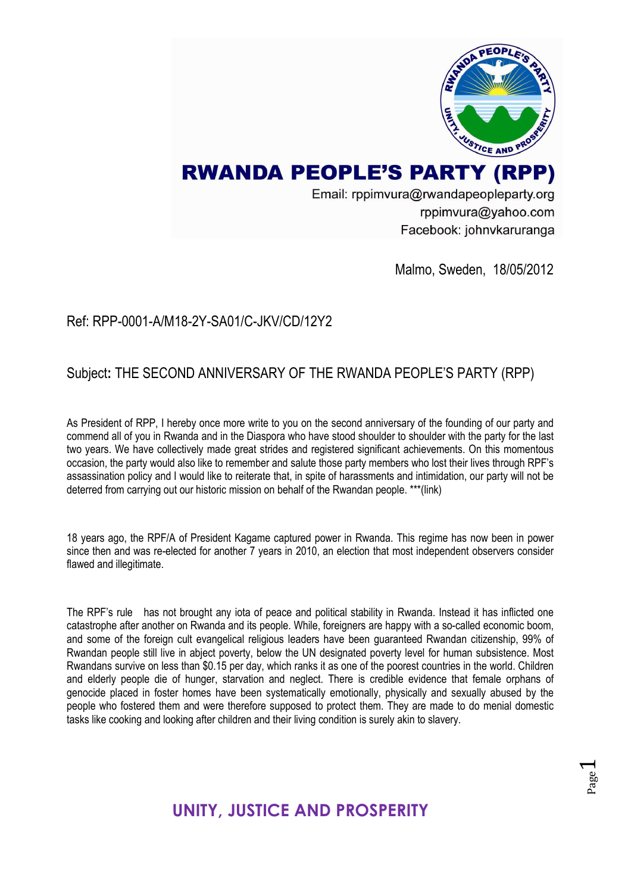

Email: rppimvura@rwandapeopleparty.org rppimvura@yahoo.com Facebook: johnvkaruranga

Malmo, Sweden, 18/05/2012

#### Ref: RPP-0001-A/M18-2Y-SA01/C-JKV/CD/12Y2

#### Subject**:** THE SECOND ANNIVERSARY OF THE RWANDA PEOPLE'S PARTY (RPP)

As President of RPP, I hereby once more write to you on the second anniversary of the founding of our party and commend all of you in Rwanda and in the Diaspora who have stood shoulder to shoulder with the party for the last two years. We have collectively made great strides and registered significant achievements. On this momentous occasion, the party would also like to remember and salute those party members who lost their lives through RPF's assassination policy and I would like to reiterate that, in spite of harassments and intimidation, our party will not be deterred from carrying out our historic mission on behalf of the Rwandan people. \*\*\*(link)

18 years ago, the RPF/A of President Kagame captured power in Rwanda. This regime has now been in power since then and was re-elected for another 7 years in 2010, an election that most independent observers consider flawed and illegitimate.

The RPF's rule has not brought any iota of peace and political stability in Rwanda. Instead it has inflicted one catastrophe after another on Rwanda and its people. While, foreigners are happy with a so-called economic boom, and some of the foreign cult evangelical religious leaders have been guaranteed Rwandan citizenship, 99% of Rwandan people still live in abject poverty, below the UN designated poverty level for human subsistence. Most Rwandans survive on less than \$0.15 per day, which ranks it as one of the poorest countries in the world. Children and elderly people die of hunger, starvation and neglect. There is credible evidence that female orphans of genocide placed in foster homes have been systematically emotionally, physically and sexually abused by the people who fostered them and were therefore supposed to protect them. They are made to do menial domestic tasks like cooking and looking after children and their living condition is surely akin to slavery.

Page  $\overline{\phantom{0}}$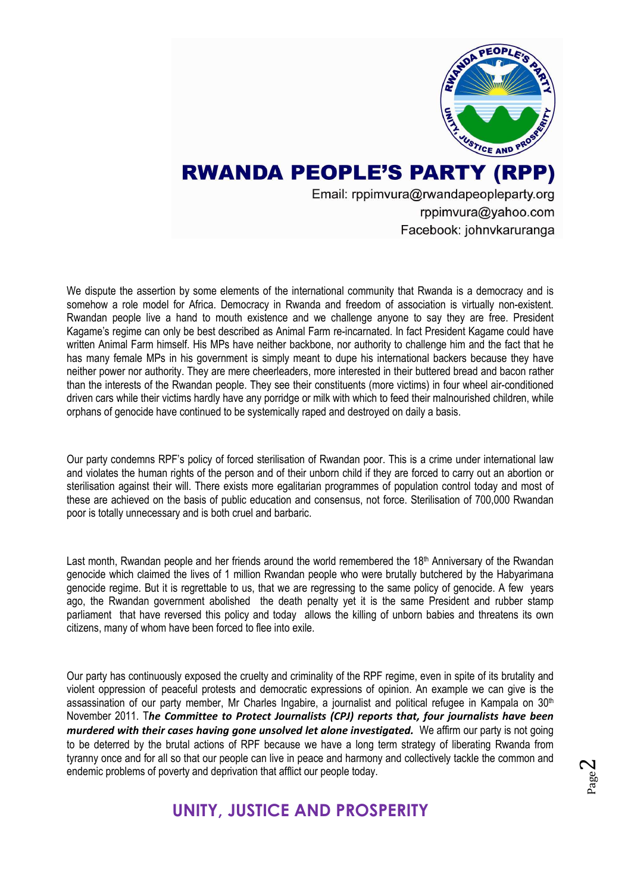

Email: rppimvura@rwandapeopleparty.org rppimvura@yahoo.com Facebook: johnvkaruranga

We dispute the assertion by some elements of the international community that Rwanda is a democracy and is somehow a role model for Africa. Democracy in Rwanda and freedom of association is virtually non-existent. Rwandan people live a hand to mouth existence and we challenge anyone to say they are free. President Kagame's regime can only be best described as Animal Farm re-incarnated. In fact President Kagame could have written Animal Farm himself. His MPs have neither backbone, nor authority to challenge him and the fact that he has many female MPs in his government is simply meant to dupe his international backers because they have neither power nor authority. They are mere cheerleaders, more interested in their buttered bread and bacon rather than the interests of the Rwandan people. They see their constituents (more victims) in four wheel air-conditioned driven cars while their victims hardly have any porridge or milk with which to feed their malnourished children, while orphans of genocide have continued to be systemically raped and destroyed on daily a basis.

Our party condemns RPF's policy of forced sterilisation of Rwandan poor. This is a crime under international law and violates the human rights of the person and of their unborn child if they are forced to carry out an abortion or sterilisation against their will. There exists more egalitarian programmes of population control today and most of these are achieved on the basis of public education and consensus, not force. Sterilisation of 700,000 Rwandan poor is totally unnecessary and is both cruel and barbaric.

Last month, Rwandan people and her friends around the world remembered the 18<sup>th</sup> Anniversary of the Rwandan genocide which claimed the lives of 1 million Rwandan people who were brutally butchered by the Habyarimana genocide regime. But it is regrettable to us, that we are regressing to the same policy of genocide. A few years ago, the Rwandan government abolished the death penalty yet it is the same President and rubber stamp parliament that have reversed this policy and today allows the killing of unborn babies and threatens its own citizens, many of whom have been forced to flee into exile.

Our party has continuously exposed the cruelty and criminality of the RPF regime, even in spite of its brutality and violent oppression of peaceful protests and democratic expressions of opinion. An example we can give is the assassination of our party member, Mr Charles Ingabire, a journalist and political refugee in Kampala on 30<sup>th</sup> November 2011. T*he Committee to Protect Journalists (CPJ) reports that, four journalists have been murdered with their cases having gone unsolved let alone investigated.* We affirm our party is not going to be deterred by the brutal actions of RPF because we have a long term strategy of liberating Rwanda from tyranny once and for all so that our people can live in peace and harmony and collectively tackle the common and endemic problems of poverty and deprivation that afflict our people today.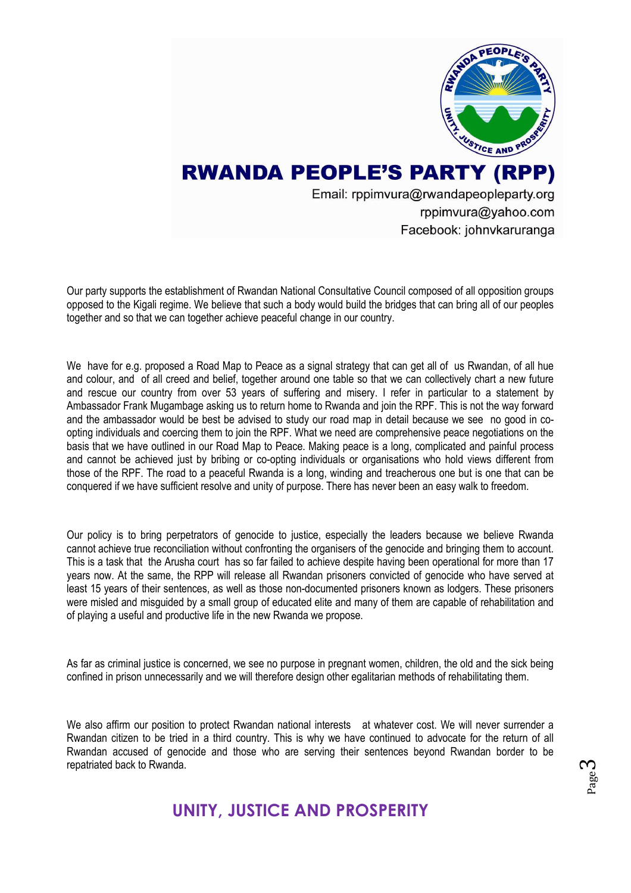

Email: rppimvura@rwandapeopleparty.org rppimvura@yahoo.com Facebook: johnvkaruranga

Our party supports the establishment of Rwandan National Consultative Council composed of all opposition groups opposed to the Kigali regime. We believe that such a body would build the bridges that can bring all of our peoples together and so that we can together achieve peaceful change in our country.

We have for e.g. proposed a Road Map to Peace as a signal strategy that can get all of us Rwandan, of all hue and colour, and of all creed and belief, together around one table so that we can collectively chart a new future and rescue our country from over 53 years of suffering and misery. I refer in particular to a statement by Ambassador Frank Mugambage asking us to return home to Rwanda and join the RPF. This is not the way forward and the ambassador would be best be advised to study our road map in detail because we see no good in coopting individuals and coercing them to join the RPF. What we need are comprehensive peace negotiations on the basis that we have outlined in our Road Map to Peace. Making peace is a long, complicated and painful process and cannot be achieved just by bribing or co-opting individuals or organisations who hold views different from those of the RPF. The road to a peaceful Rwanda is a long, winding and treacherous one but is one that can be conquered if we have sufficient resolve and unity of purpose. There has never been an easy walk to freedom.

Our policy is to bring perpetrators of genocide to justice, especially the leaders because we believe Rwanda cannot achieve true reconciliation without confronting the organisers of the genocide and bringing them to account. This is a task that the Arusha court has so far failed to achieve despite having been operational for more than 17 years now. At the same, the RPP will release all Rwandan prisoners convicted of genocide who have served at least 15 years of their sentences, as well as those non-documented prisoners known as lodgers. These prisoners were misled and misguided by a small group of educated elite and many of them are capable of rehabilitation and of playing a useful and productive life in the new Rwanda we propose.

As far as criminal justice is concerned, we see no purpose in pregnant women, children, the old and the sick being confined in prison unnecessarily and we will therefore design other egalitarian methods of rehabilitating them.

We also affirm our position to protect Rwandan national interests at whatever cost. We will never surrender a Rwandan citizen to be tried in a third country. This is why we have continued to advocate for the return of all Rwandan accused of genocide and those who are serving their sentences beyond Rwandan border to be repatriated back to Rwanda.

#### Page ო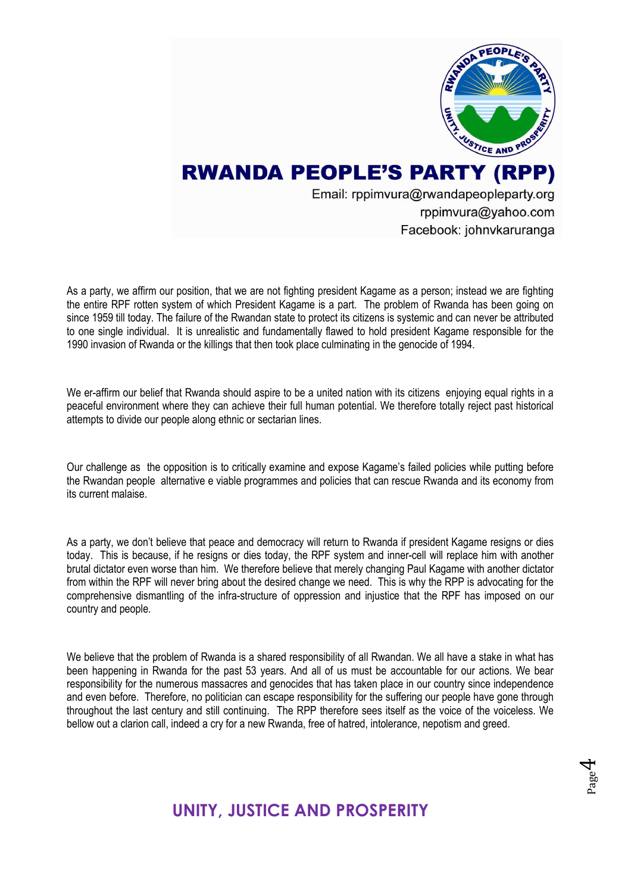

Email: rppimvura@rwandapeopleparty.org rppimvura@yahoo.com Facebook: johnvkaruranga

As a party, we affirm our position, that we are not fighting president Kagame as a person; instead we are fighting the entire RPF rotten system of which President Kagame is a part. The problem of Rwanda has been going on since 1959 till today. The failure of the Rwandan state to protect its citizens is systemic and can never be attributed to one single individual. It is unrealistic and fundamentally flawed to hold president Kagame responsible for the 1990 invasion of Rwanda or the killings that then took place culminating in the genocide of 1994.

We er-affirm our belief that Rwanda should aspire to be a united nation with its citizens enjoying equal rights in a peaceful environment where they can achieve their full human potential. We therefore totally reject past historical attempts to divide our people along ethnic or sectarian lines.

Our challenge as the opposition is to critically examine and expose Kagame's failed policies while putting before the Rwandan people alternative e viable programmes and policies that can rescue Rwanda and its economy from its current malaise.

As a party, we don't believe that peace and democracy will return to Rwanda if president Kagame resigns or dies today. This is because, if he resigns or dies today, the RPF system and inner-cell will replace him with another brutal dictator even worse than him. We therefore believe that merely changing Paul Kagame with another dictator from within the RPF will never bring about the desired change we need. This is why the RPP is advocating for the comprehensive dismantling of the infra-structure of oppression and injustice that the RPF has imposed on our country and people.

We believe that the problem of Rwanda is a shared responsibility of all Rwandan. We all have a stake in what has been happening in Rwanda for the past 53 years. And all of us must be accountable for our actions. We bear responsibility for the numerous massacres and genocides that has taken place in our country since independence and even before. Therefore, no politician can escape responsibility for the suffering our people have gone through throughout the last century and still continuing. The RPP therefore sees itself as the voice of the voiceless. We bellow out a clarion call, indeed a cry for a new Rwanda, free of hatred, intolerance, nepotism and greed.

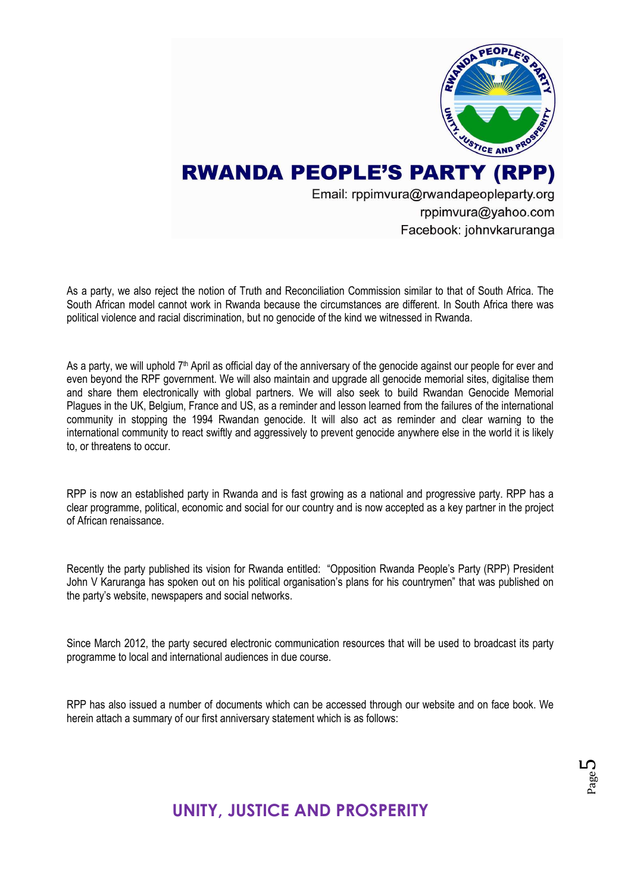

Email: rppimvura@rwandapeopleparty.org rppimvura@yahoo.com Facebook: johnvkaruranga

As a party, we also reject the notion of Truth and Reconciliation Commission similar to that of South Africa. The South African model cannot work in Rwanda because the circumstances are different. In South Africa there was political violence and racial discrimination, but no genocide of the kind we witnessed in Rwanda.

As a party, we will uphold 7<sup>th</sup> April as official day of the anniversary of the genocide against our people for ever and even beyond the RPF government. We will also maintain and upgrade all genocide memorial sites, digitalise them and share them electronically with global partners. We will also seek to build Rwandan Genocide Memorial Plagues in the UK, Belgium, France and US, as a reminder and lesson learned from the failures of the international community in stopping the 1994 Rwandan genocide. It will also act as reminder and clear warning to the international community to react swiftly and aggressively to prevent genocide anywhere else in the world it is likely to, or threatens to occur.

RPP is now an established party in Rwanda and is fast growing as a national and progressive party. RPP has a clear programme, political, economic and social for our country and is now accepted as a key partner in the project of African renaissance.

Recently the party published its vision for Rwanda entitled: ["Opposition Rwanda People's Party \(RPP\) President](http://rwandarwiza.unblog.fr/2012/02/08/opposition-rwanda-people%e2%80%99s-party-rpp-president-john-v-karuranga-has-spoken-out-on-his-political-organisations-plans-for-his-countrymen/)  [John V Karuranga has spoken out on his political organisation's plans for his countrymen"](http://rwandarwiza.unblog.fr/2012/02/08/opposition-rwanda-people%e2%80%99s-party-rpp-president-john-v-karuranga-has-spoken-out-on-his-political-organisations-plans-for-his-countrymen/) that was published on the party's website, newspapers and social networks.

Since March 2012, the party secured electronic communication resources that will be used to broadcast its party programme to local and international audiences in due course.

RPP has also issued a number of documents which can be accessed through our website and on face book. We herein attach a summary of our first anniversary statement which is as follows: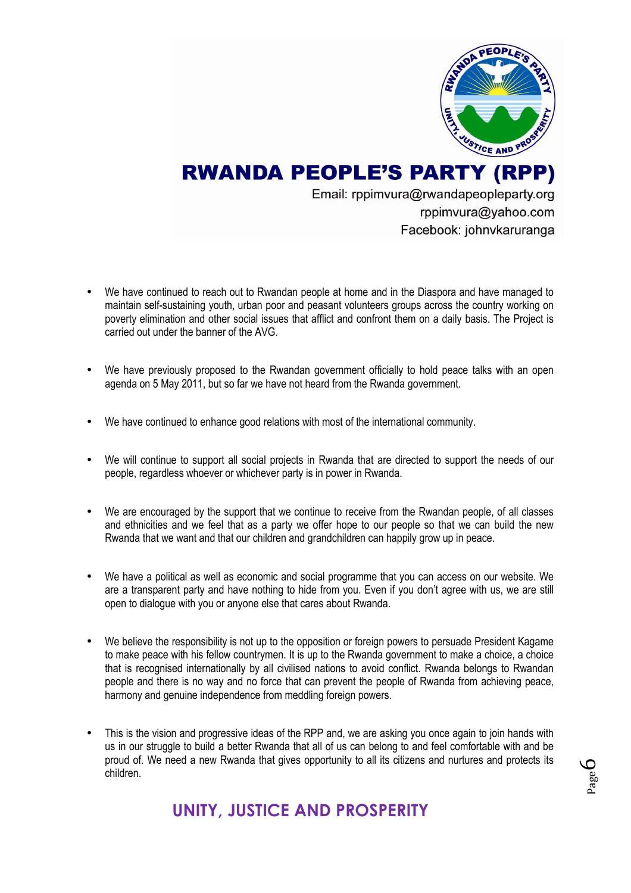

Page 6

## **RWANDA PEOPLE'S PARTY (RPP)**

Email: rppimvura@rwandapeopleparty.org rppimvura@yahoo.com Facebook: johnvkaruranga

- We have continued to reach out to Rwandan people at home and in the Diaspora and have managed to maintain self-sustaining youth, urban poor and peasant volunteers groups across the country working on poverty elimination and other social issues that afflict and confront them on a daily basis. The Project is carried out under the banner of the AVG.
- We have previously proposed to the Rwandan government officially to hold peace talks with an open agenda on 5 May 2011, but so far we have not heard from the Rwanda government.
- We have continued to enhance good relations with most of the international community.
- We will continue to support all social projects in Rwanda that are directed to support the needs of our people, regardless whoever or whichever party is in power in Rwanda.
- We are encouraged by the support that we continue to receive from the Rwandan people, of all classes and ethnicities and we feel that as a party we offer hope to our people so that we can build the new Rwanda that we want and that our children and grandchildren can happily grow up in peace.
- We have a political as well as economic and social programme that you can access on our website. We are a transparent party and have nothing to hide from you. Even if you don't agree with us, we are still open to dialogue with you or anyone else that cares about Rwanda.
- We believe the responsibility is not up to the opposition or foreign powers to persuade President Kagame to make peace with his fellow countrymen. It is up to the Rwanda government to make a choice, a choice that is recognised internationally by all civilised nations to avoid conflict. Rwanda belongs to Rwandan people and there is no way and no force that can prevent the people of Rwanda from achieving peace, harmony and genuine independence from meddling foreign powers.
- This is the vision and progressive ideas of the RPP and, we are asking you once again to join hands with us in our struggle to build a better Rwanda that all of us can belong to and feel comfortable with and be proud of. We need a new Rwanda that gives opportunity to all its citizens and nurtures and protects its children.